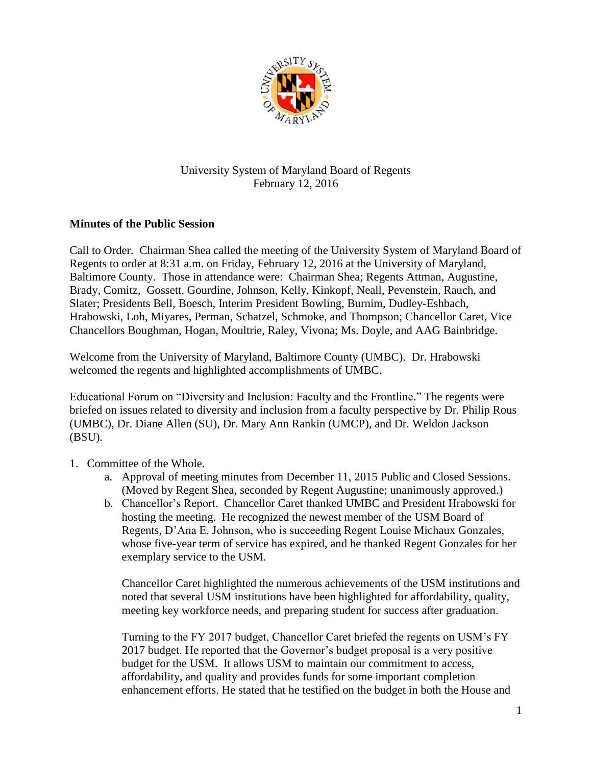

## University System of Maryland Board of Regents February 12, 2016

## **Minutes of the Public Session**

Call to Order. Chairman Shea called the meeting of the University System of Maryland Board of Regents to order at 8:31 a.m. on Friday, February 12, 2016 at the University of Maryland, Baltimore County. Those in attendance were: Chairman Shea; Regents Attman, Augustine, Brady, Comitz, Gossett, Gourdine, Johnson, Kelly, Kinkopf, Neall, Pevenstein, Rauch, and Slater; Presidents Bell, Boesch, Interim President Bowling, Burnim, Dudley-Eshbach, Hrabowski, Loh, Miyares, Perman, Schatzel, Schmoke, and Thompson; Chancellor Caret, Vice Chancellors Boughman, Hogan, Moultrie, Raley, Vivona; Ms. Doyle, and AAG Bainbridge.

Welcome from the University of Maryland, Baltimore County (UMBC). Dr. Hrabowski welcomed the regents and highlighted accomplishments of UMBC.

Educational Forum on "Diversity and Inclusion: Faculty and the Frontline." The regents were briefed on issues related to diversity and inclusion from a faculty perspective by Dr. Philip Rous (UMBC), Dr. Diane Allen (SU), Dr. Mary Ann Rankin (UMCP), and Dr. Weldon Jackson (BSU).

- 1. Committee of the Whole.
	- a. Approval of meeting minutes from December 11, 2015 Public and Closed Sessions. (Moved by Regent Shea, seconded by Regent Augustine; unanimously approved.)
	- b. Chancellor's Report. Chancellor Caret thanked UMBC and President Hrabowski for hosting the meeting. He recognized the newest member of the USM Board of Regents, D'Ana E. Johnson, who is succeeding Regent Louise Michaux Gonzales, whose five-year term of service has expired, and he thanked Regent Gonzales for her exemplary service to the USM.

Chancellor Caret highlighted the numerous achievements of the USM institutions and noted that several USM institutions have been highlighted for affordability, quality, meeting key workforce needs, and preparing student for success after graduation.

Turning to the FY 2017 budget, Chancellor Caret briefed the regents on USM's FY 2017 budget. He reported that the Governor's budget proposal is a very positive budget for the USM. It allows USM to maintain our commitment to access, affordability, and quality and provides funds for some important completion enhancement efforts. He stated that he testified on the budget in both the House and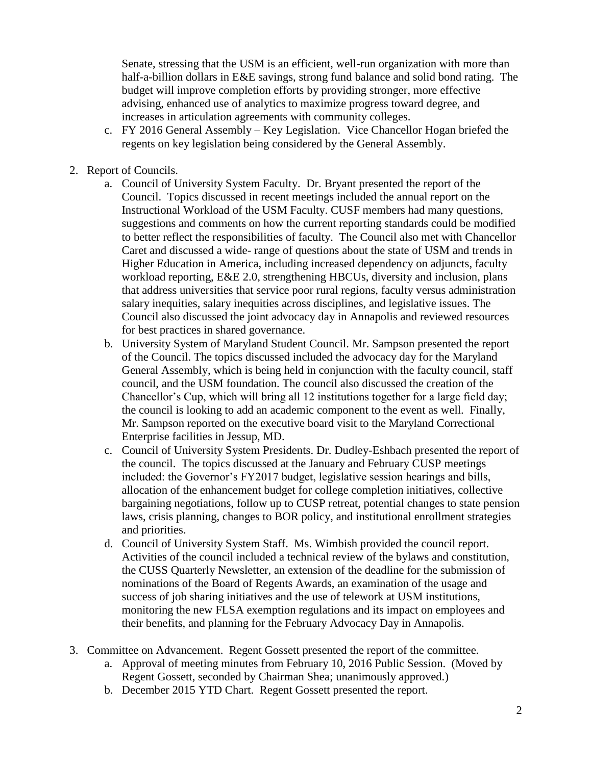Senate, stressing that the USM is an efficient, well-run organization with more than half-a-billion dollars in E&E savings, strong fund balance and solid bond rating. The budget will improve completion efforts by providing stronger, more effective advising, enhanced use of analytics to maximize progress toward degree, and increases in articulation agreements with community colleges.

- c. FY 2016 General Assembly Key Legislation. Vice Chancellor Hogan briefed the regents on key legislation being considered by the General Assembly.
- 2. Report of Councils.
	- a. Council of University System Faculty. Dr. Bryant presented the report of the Council. Topics discussed in recent meetings included the annual report on the Instructional Workload of the USM Faculty. CUSF members had many questions, suggestions and comments on how the current reporting standards could be modified to better reflect the responsibilities of faculty. The Council also met with Chancellor Caret and discussed a wide- range of questions about the state of USM and trends in Higher Education in America, including increased dependency on adjuncts, faculty workload reporting, E&E 2.0, strengthening HBCUs, diversity and inclusion, plans that address universities that service poor rural regions, faculty versus administration salary inequities, salary inequities across disciplines, and legislative issues. The Council also discussed the joint advocacy day in Annapolis and reviewed resources for best practices in shared governance.
	- b. University System of Maryland Student Council. Mr. Sampson presented the report of the Council. The topics discussed included the advocacy day for the Maryland General Assembly, which is being held in conjunction with the faculty council, staff council, and the USM foundation. The council also discussed the creation of the Chancellor's Cup, which will bring all 12 institutions together for a large field day; the council is looking to add an academic component to the event as well. Finally, Mr. Sampson reported on the executive board visit to the Maryland Correctional Enterprise facilities in Jessup, MD.
	- c. Council of University System Presidents. Dr. Dudley-Eshbach presented the report of the council. The topics discussed at the January and February CUSP meetings included: the Governor's FY2017 budget, legislative session hearings and bills, allocation of the enhancement budget for college completion initiatives, collective bargaining negotiations, follow up to CUSP retreat, potential changes to state pension laws, crisis planning, changes to BOR policy, and institutional enrollment strategies and priorities.
	- d. Council of University System Staff. Ms. Wimbish provided the council report. Activities of the council included a technical review of the bylaws and constitution, the CUSS Quarterly Newsletter, an extension of the deadline for the submission of nominations of the Board of Regents Awards, an examination of the usage and success of job sharing initiatives and the use of telework at USM institutions, monitoring the new FLSA exemption regulations and its impact on employees and their benefits, and planning for the February Advocacy Day in Annapolis.
- 3. Committee on Advancement. Regent Gossett presented the report of the committee.
	- a. Approval of meeting minutes from February 10, 2016 Public Session. (Moved by Regent Gossett, seconded by Chairman Shea; unanimously approved.)
	- b. December 2015 YTD Chart. Regent Gossett presented the report.